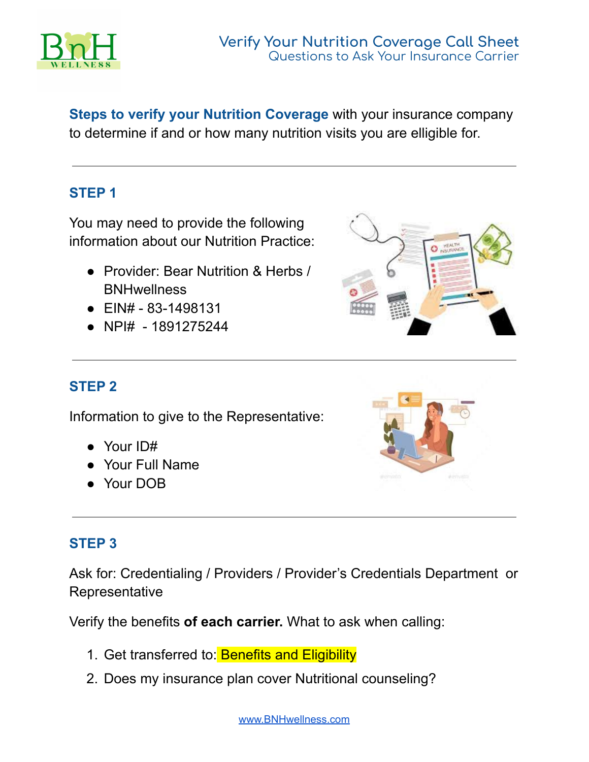

**Steps to verify your Nutrition Coverage** with your insurance company to determine if and or how many nutrition visits you are elligible for.

## **STEP 1**

You may need to provide the following information about our Nutrition Practice:

- Provider: Bear Nutrition & Herbs / **BNHwellness**
- $\bullet$  EIN# 83-1498131
- NPI# 1891275244



# **STEP 2**

Information to give to the Representative:

- Your ID#
- Your Full Name
- Your DOB



## **STEP 3**

Ask for: Credentialing / Providers / Provider's Credentials Department or **Representative** 

Verify the benefits **of each carrier.** What to ask when calling:

- 1. Get transferred to: Benefits and Eligibility
- 2. Does my insurance plan cover Nutritional counseling?